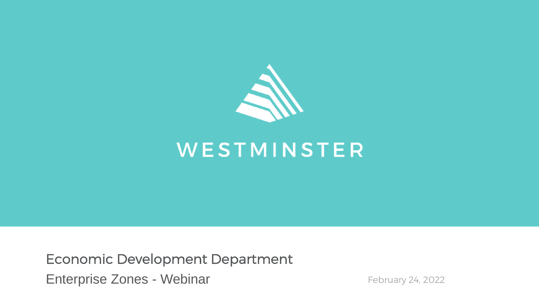

# WESTMINSTER

Economic Development Department Enterprise Zones - Webinar February 24, 2022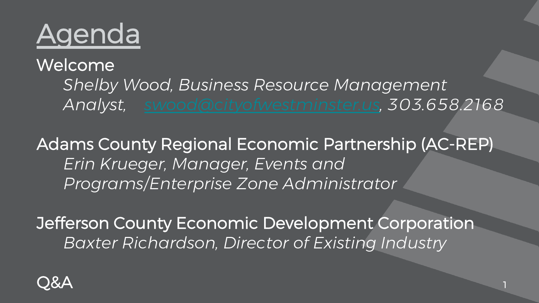

Welcome *Shelby Wood, Business Resource Management Analyst, [swood@cityofwestminster.us,](mailto:swood@cityofwestminster.us) 303.658.2168*

Adams County Regional Economic Partnership (AC-REP) *Erin Krueger, Manager, Events and Programs/Enterprise Zone Administrator*

Jefferson County Economic Development Corporation *Baxter Richardson, Director of Existing Industry*

1

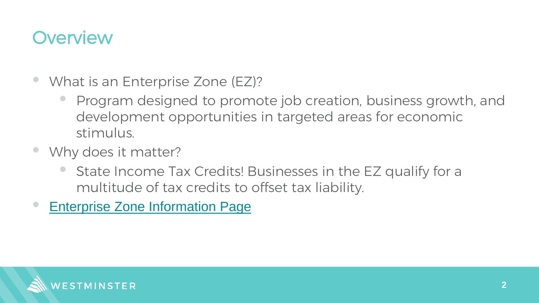## **Overview**

- What is an Enterprise Zone (EZ)?
	- Program designed to promote job creation, business growth, and development opportunities in targeted areas for economic stimulus.
- Why does it matter?
	- State Income Tax Credits! Businesses in the EZ qualify for a multitude of tax credits to offset tax liability.
- [Enterprise Zone Information Page](https://oedit.colorado.gov/enterprise-zone-program)

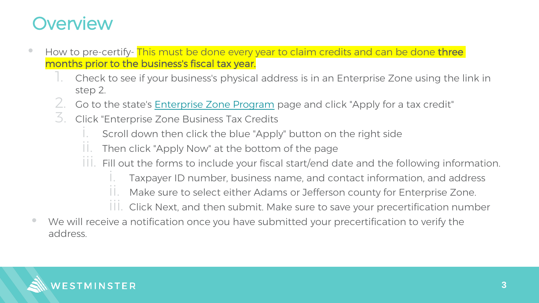# **Overview**

- How to pre-certify- This must be done every year to claim credits and can be done three months prior to the business's fiscal tax year.
	- 1. Check to see if your business's physical address is in an Enterprise Zone using the link in step 2.
	- 2. Go to the state's [Enterprise Zone Program](https://oedit.colorado.gov/enterprise-zone-program) page and click "Apply for a tax credit"
	- 3. Click "Enterprise Zone Business Tax Credits
		- Scroll down then click the blue "Apply" button on the right side
		- $\mathcal{I}$ . Then click "Apply Now" at the bottom of the page
		- III. Fill out the forms to include your fiscal start/end date and the following information.
			- Taxpayer ID number, business name, and contact information, and address
			- Make sure to select either Adams or Jefferson county for Enterprise Zone.
			- III. Click Next, and then submit. Make sure to save your precertification number
- We will receive a notification once you have submitted your precertification to verify the address.

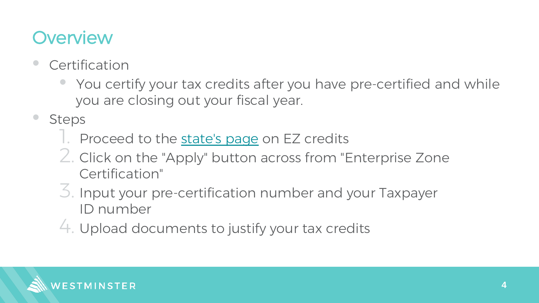# **Overview**

- **Certification** 
	- You certify your tax credits after you have pre-certified and while you are closing out your fiscal year.
- **Steps** 
	- 1. Proceed to the [state's page](https://oedit.colorado.gov/enterprise-zone-program) on EZ credits
	- 2. Click on the "Apply" button across from "Enterprise Zone Certification"
	- 3. Input your pre-certification number and your Taxpayer ID number
	- 4. Upload documents to justify your tax credits

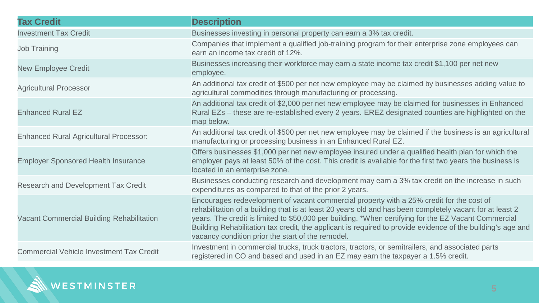| <b>Tax Credit</b>                               | <b>Description</b>                                                                                                                                                                                                                                                                                                                                                                                                                                                               |
|-------------------------------------------------|----------------------------------------------------------------------------------------------------------------------------------------------------------------------------------------------------------------------------------------------------------------------------------------------------------------------------------------------------------------------------------------------------------------------------------------------------------------------------------|
| <b>Investment Tax Credit</b>                    | Businesses investing in personal property can earn a 3% tax credit.                                                                                                                                                                                                                                                                                                                                                                                                              |
| <b>Job Training</b>                             | Companies that implement a qualified job-training program for their enterprise zone employees can<br>earn an income tax credit of 12%.                                                                                                                                                                                                                                                                                                                                           |
| <b>New Employee Credit</b>                      | Businesses increasing their workforce may earn a state income tax credit \$1,100 per net new<br>employee.                                                                                                                                                                                                                                                                                                                                                                        |
| <b>Agricultural Processor</b>                   | An additional tax credit of \$500 per net new employee may be claimed by businesses adding value to<br>agricultural commodities through manufacturing or processing.                                                                                                                                                                                                                                                                                                             |
| <b>Enhanced Rural EZ</b>                        | An additional tax credit of \$2,000 per net new employee may be claimed for businesses in Enhanced<br>Rural EZs - these are re-established every 2 years. EREZ designated counties are highlighted on the<br>map below.                                                                                                                                                                                                                                                          |
| <b>Enhanced Rural Agricultural Processor:</b>   | An additional tax credit of \$500 per net new employee may be claimed if the business is an agricultural<br>manufacturing or processing business in an Enhanced Rural EZ.                                                                                                                                                                                                                                                                                                        |
| <b>Employer Sponsored Health Insurance</b>      | Offers businesses \$1,000 per net new employee insured under a qualified health plan for which the<br>employer pays at least 50% of the cost. This credit is available for the first two years the business is<br>located in an enterprise zone.                                                                                                                                                                                                                                 |
| Research and Development Tax Credit             | Businesses conducting research and development may earn a 3% tax credit on the increase in such<br>expenditures as compared to that of the prior 2 years.                                                                                                                                                                                                                                                                                                                        |
| Vacant Commercial Building Rehabilitation       | Encourages redevelopment of vacant commercial property with a 25% credit for the cost of<br>rehabilitation of a building that is at least 20 years old and has been completely vacant for at least 2<br>years. The credit is limited to \$50,000 per building. *When certifying for the EZ Vacant Commercial<br>Building Rehabilitation tax credit, the applicant is required to provide evidence of the building's age and<br>vacancy condition prior the start of the remodel. |
| <b>Commercial Vehicle Investment Tax Credit</b> | Investment in commercial trucks, truck tractors, tractors, or semitrailers, and associated parts<br>registered in CO and based and used in an EZ may earn the taxpayer a 1.5% credit.                                                                                                                                                                                                                                                                                            |

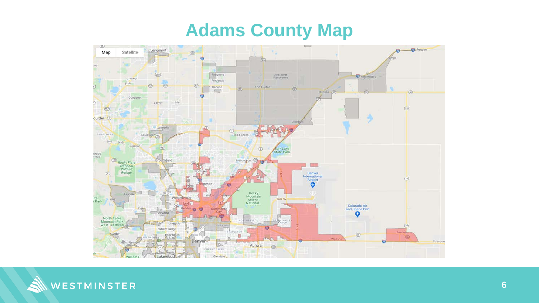## **Adams County Map**



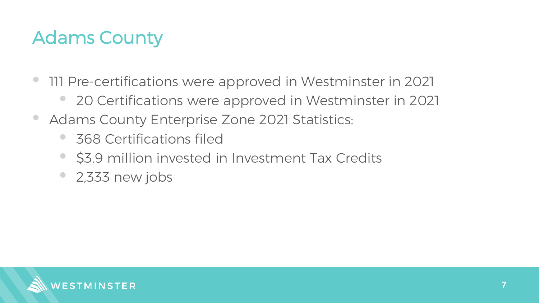# Adams County

- 111 Pre-certifications were approved in Westminster in 2021
	- 20 Certifications were approved in Westminster in 2021
- Adams County Enterprise Zone 2021 Statistics:
	- 368 Certifications filed
	- \$3.9 million invested in Investment Tax Credits
	- 2,333 new jobs

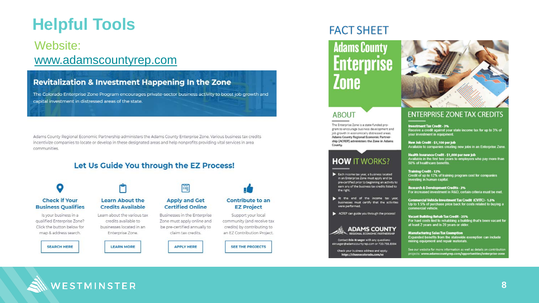### **Helpful Tools**

### Website: [www.adamscountyrep.com](https://www.adamscountyrep.com/opportunities/enterprise-zone/)

### **Revitalization & Investment Happening In the Zone**

The Colorado Enterprise Zone Program encourages private-sector business activity to boost job growth and capital investment in distressed areas of the state.

Adams County Regional Economic Partnership administers the Adams County Enterprise Zone. Various business tax credits incentivize companies to locate or develop in these designated areas and help nonprofits providing vital services in area communities.

### Let Us Guide You through the EZ Process!



### **FACT SHEET**

### **Adams County** Enterprise *Inne*

The Enterprise Zone is a state-funded pro-

gram to encourage business development and

job growth in economically distressed areas.

**Adams County Regional Economic Partner**ship (ACREP) administers the Zone in Adams

**HOW IT WORKS?** 

Each income tax year, a business located

in an Enterprise Zone must apply and be

At the end of the income tax year.

ACREP can guide you through the process!

Contact Erin Krueger with any questions:

ekrueger@adamscountyrep.com or 720.758.8384

Check your business address and apply:

https://choosecolorado.com/ez

businesses must certify that the activities

**ADAMS COUNTY** 

pre-certified prior to beginning an activity to

earn any of the business tax credits listed to

**ABOUT** 

County.

the right.

were performed.



### **ENTERPRISE ZONE TAX CREDITS**

**Investment Tax Credit - 3%** Receive a credit against your state income tax for up to 3% of your investment in equipment.

New Job Credit - \$1,100 per Job Available to companies creating new jobs in an Enterprise Zone

Health Insurance Credit - \$1,000 per new Job Available in the first two years to employers who pay more than 50% of healthcare benefits.

#### **Training Credit - 12%** Credit of up to 12% of training program cost for companies investing in human capital.

Research & Development Credits - 3%<br>For increased investment in R&D, certain criteria must be met.

Commercial Vehicle Investment Tax Credit (CVITC) - 1.5%<br>Up to 1.5% of purchase price back for costs related to buying a<br>commercial vehicle.

Vacant Building Rehab Tax Credit - 25% For hard costs tied to rehabbing a building that's been vacant for at least 2 years and is 20 years or older.

**Manufacturing Sales Tax Exemption** Expanded benefits from the statewide exemption can include mining equipment and repair materials.

See our website for more information as well as details on contribution projects: www.adamscountyrep.com/opportunities/enterprise-zon

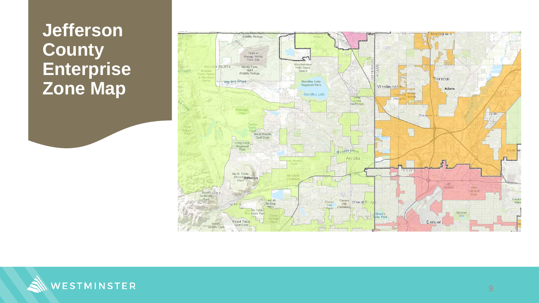### **Jefferson County Enterprise Zone Map**



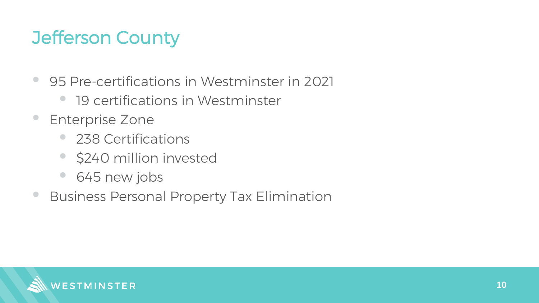# Jefferson County

- 95 Pre-certifications in Westminster in 2021
	- 19 certifications in Westminster
- Enterprise Zone
	- 238 Certifications
	- \$240 million invested
	- 645 new jobs
- Business Personal Property Tax Elimination

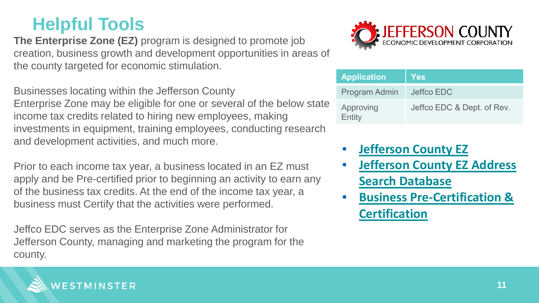## **Helpful Tools**

**The Enterprise Zone (EZ)** program is designed to promote job creation, business growth and development opportunities in areas of the county targeted for economic stimulation.

Businesses locating within the Jefferson County Enterprise Zone may be eligible for one or several of the below state income tax credits related to hiring new employees, making investments in equipment, training employees, conducting research and development activities, and much more.

Prior to each income tax year, a business located in an EZ must apply and be Pre-certified prior to beginning an activity to earn any of the business tax credits. At the end of the income tax year, a business must Certify that the activities were performed.

Jeffco EDC serves as the Enterprise Zone Administrator for Jefferson County, managing and marketing the program for the county.



| <b>Application</b>  | <b>Yes</b>                 |
|---------------------|----------------------------|
| Program Admin       | Jeffco EDC                 |
| Approving<br>Entity | Jeffco EDC & Dept. of Rev. |

- **[Jefferson County EZ](http://jeffcoedc.org/ez/)**
- **[Jefferson County EZ Address](https://jcedc.maps.arcgis.com/apps/PublicInformation/index.html?appid=9b3cefe77cc5461d8480cd06cfb8b36c)  Search Database**
- **[Business Pre-Certification &](https://choosecolorado.com/doing-business/incentives-financing/ez/)  Certification**

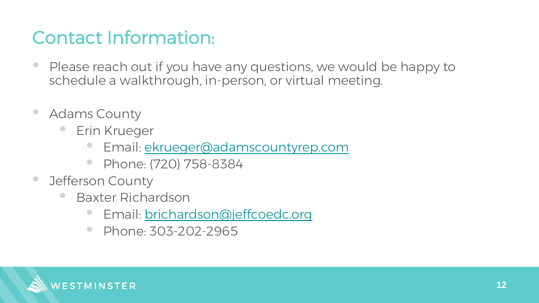# Contact Information:

- Please reach out if you have any questions, we would be happy to schedule a walkthrough, in-person, or virtual meeting.
- Adams County
	- **Erin Krueger** 
		- Email: [ekrueger@adamscountyrep.com](mailto:ekrueger@adamscountyrep.com)
		- Phone: (720) 758-8384
- Jefferson County
	- Baxter Richardson
		- Email: [brichardson@jeffcoedc.org](mailto:brichardson@jeffcoedc.org)
		- Phone: 303-202-2965